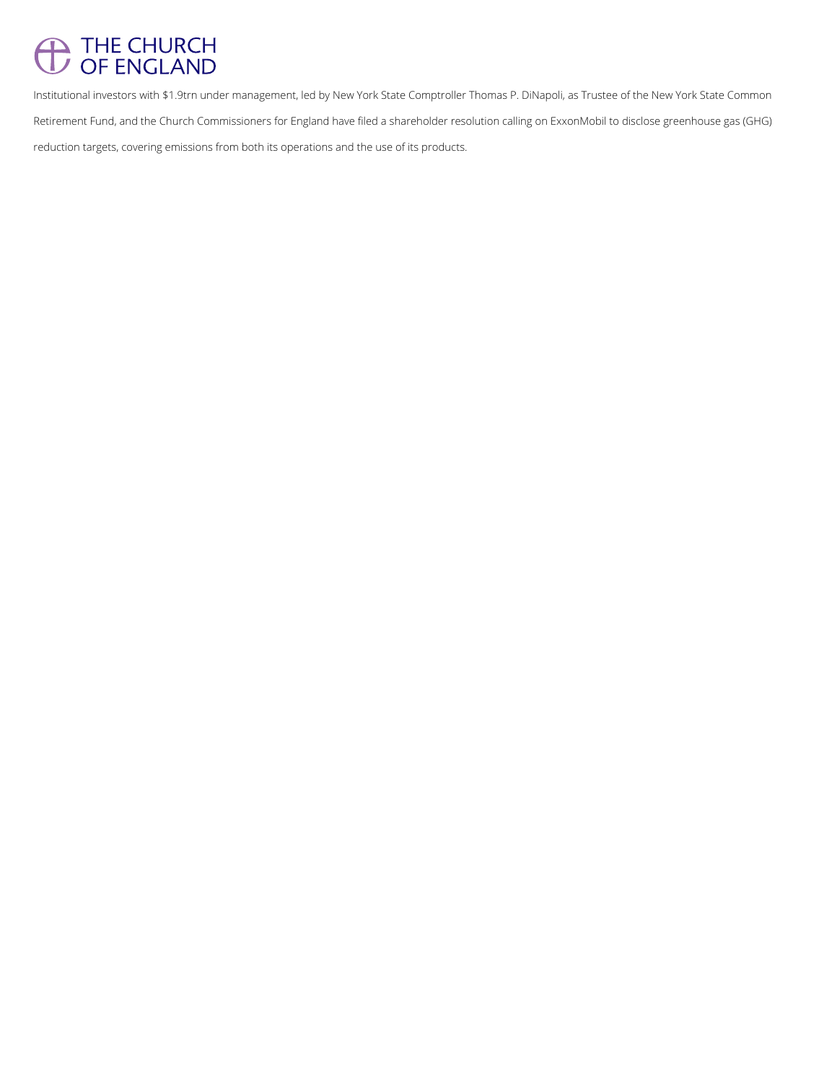## THE CHURCH

Institutional investors with \$1.9trn under management, led by New York State Comptroller Thomas P. DiNapoli, as Trustee of the New York State Common Retirement Fund, and the Church Commissioners for England have filed a shareholder resolution calling on ExxonMobil to disclose greenhouse gas (GHG) reduction targets, covering emissions from both its operations and the use of its products.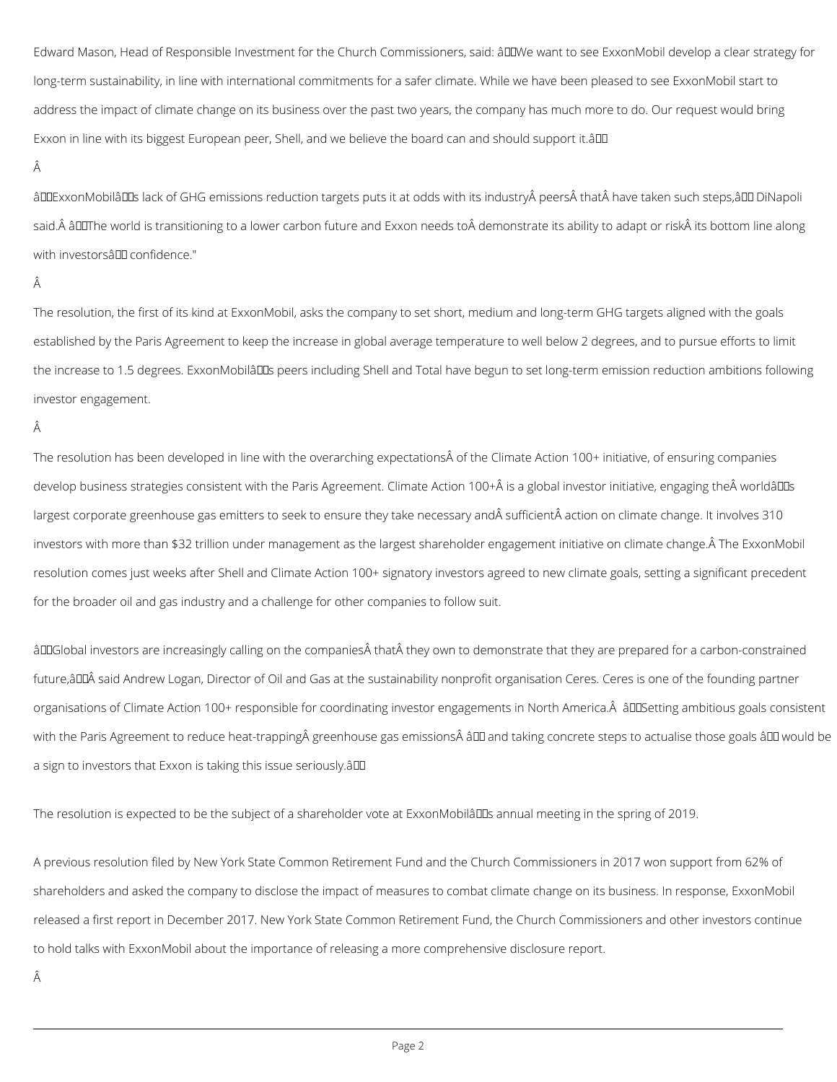Edward Mason, Head of Responsible Investment for the Church Commissioners, said: âDDWe want to see ExxonMobil develop a clear strategy for long-term sustainability, in line with international commitments for a safer climate. While we have been pleased to see ExxonMobil start to address the impact of climate change on its business over the past two years, the company has much more to do. Our request would bring Exxon in line with its biggest European peer, Shell, and we believe the board can and should support it.  $\partial D$ 

## Â

âDDExxonMobilâDDs lack of GHG emissions reduction targets puts it at odds with its industry peers that have taken such steps,âDD DiNapoli said. âDDThe world is transitioning to a lower carbon future and Exxon needs to demonstrate its ability to adapt or risk its bottom line along with investorsâl<sup>II</sup> confidence."

## Â

The resolution has been developed in line with the overarching expectations of the Climate Action 100+ initiative, of ensuring companies develop business strategies consistent with the Paris Agreement. Climate Action 100+ is a global investor initiative, engaging the worldâllDs largest corporate greenhouse gas emitters to seek to ensure they take necessary and sufficient action on climate change. It involves 310 investors with more than \$32 trillion under management as the largest shareholder engagement initiative on climate change. Â The ExxonMobil resolution comes just weeks after Shell and Climate Action 100+ signatory investors agreed to new climate goals, setting a significant precedent for the broader oil and gas industry and a challenge for other companies to follow suit.

âDDGlobal investors are increasingly calling on the companies that they own to demonstrate that they are prepared for a carbon-constrained future, a DDA said Andrew Logan, Director of Oil and Gas at the sustainability nonprofit organisation Ceres. Ceres is one of the founding partner organisations of Climate Action 100+ responsible for coordinating investor engagements in North America. A au DSetting ambitious goals consistent with the Paris Agreement to reduce heat-trapping greenhouse gas emissions ân and taking concrete steps to actualise those goals ân would be a sign to investors that Exxon is taking this issue seriously.  $\partial \mathbb{D}$ 

The resolution is expected to be the subject of a shareholder vote at ExxonMobilâDDs annual meeting in the spring of 2019.

The resolution, the first of its kind at ExxonMobil, asks the company to set short, medium and long-term GHG targets aligned with the goals established by the Paris Agreement to keep the increase in global average temperature to well below 2 degrees, and to pursue efforts to limit the increase to 1.5 degrees. ExxonMobilâDDs peers including Shell and Total have begun to set long-term emission reduction ambitions following investor engagement.

## Â

A previous resolution filed by New York State Common Retirement Fund and the Church Commissioners in 2017 won support from 62% of

shareholders and asked the company to disclose the impact of measures to combat climate change on its business. In response, ExxonMobil

released a first report in December 2017. New York State Common Retirement Fund, the Church Commissioners and other investors continue

to hold talks with ExxonMobil about the importance of releasing a more comprehensive disclosure report.